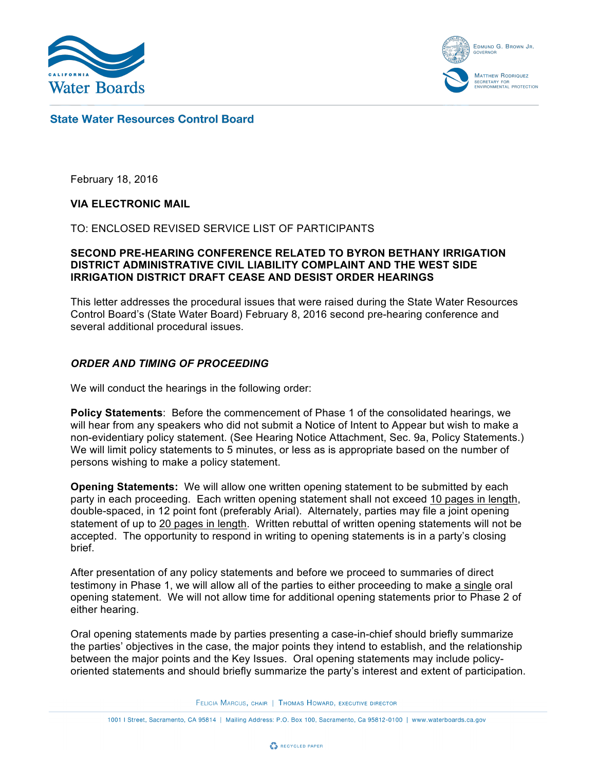



## **State Water Resources Control Board**

February 18, 2016

#### **VIA ELECTRONIC MAIL**

TO: ENCLOSED REVISED SERVICE LIST OF PARTICIPANTS

#### **SECOND PRE-HEARING CONFERENCE RELATED TO BYRON BETHANY IRRIGATION DISTRICT ADMINISTRATIVE CIVIL LIABILITY COMPLAINT AND THE WEST SIDE IRRIGATION DISTRICT DRAFT CEASE AND DESIST ORDER HEARINGS**

This letter addresses the procedural issues that were raised during the State Water Resources Control Board's (State Water Board) February 8, 2016 second pre-hearing conference and several additional procedural issues.

## *ORDER AND TIMING OF PROCEEDING*

We will conduct the hearings in the following order:

**Policy Statements**: Before the commencement of Phase 1 of the consolidated hearings, we will hear from any speakers who did not submit a Notice of Intent to Appear but wish to make a non-evidentiary policy statement. (See Hearing Notice Attachment, Sec. 9a, Policy Statements.) We will limit policy statements to 5 minutes, or less as is appropriate based on the number of persons wishing to make a policy statement.

**Opening Statements:** We will allow one written opening statement to be submitted by each party in each proceeding. Each written opening statement shall not exceed 10 pages in length, double-spaced, in 12 point font (preferably Arial). Alternately, parties may file a joint opening statement of up to 20 pages in length. Written rebuttal of written opening statements will not be accepted. The opportunity to respond in writing to opening statements is in a party's closing brief.

After presentation of any policy statements and before we proceed to summaries of direct testimony in Phase 1, we will allow all of the parties to either proceeding to make a single oral opening statement. We will not allow time for additional opening statements prior to Phase 2 of either hearing.

Oral opening statements made by parties presenting a case-in-chief should briefly summarize the parties' objectives in the case, the major points they intend to establish, and the relationship between the major points and the Key Issues. Oral opening statements may include policyoriented statements and should briefly summarize the party's interest and extent of participation.

FELICIA MARCUS, CHAIR | THOMAS HOWARD, EXECUTIVE DIRECTOR

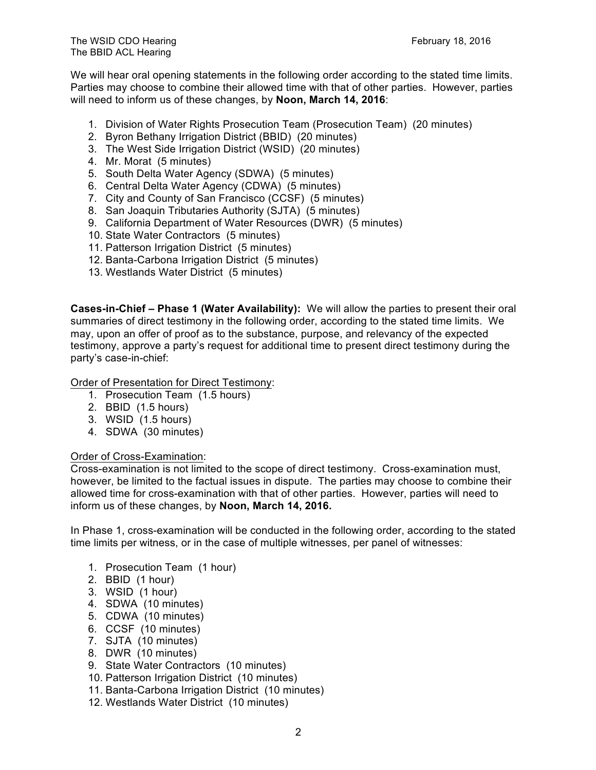We will hear oral opening statements in the following order according to the stated time limits. Parties may choose to combine their allowed time with that of other parties. However, parties will need to inform us of these changes, by **Noon, March 14, 2016**:

- 1. Division of Water Rights Prosecution Team (Prosecution Team) (20 minutes)
- 2. Byron Bethany Irrigation District (BBID) (20 minutes)
- 3. The West Side Irrigation District (WSID) (20 minutes)
- 4. Mr. Morat (5 minutes)
- 5. South Delta Water Agency (SDWA) (5 minutes)
- 6. Central Delta Water Agency (CDWA) (5 minutes)
- 7. City and County of San Francisco (CCSF) (5 minutes)
- 8. San Joaquin Tributaries Authority (SJTA) (5 minutes)
- 9. California Department of Water Resources (DWR) (5 minutes)
- 10. State Water Contractors (5 minutes)
- 11. Patterson Irrigation District (5 minutes)
- 12. Banta-Carbona Irrigation District (5 minutes)
- 13. Westlands Water District (5 minutes)

**Cases-in-Chief – Phase 1 (Water Availability):** We will allow the parties to present their oral summaries of direct testimony in the following order, according to the stated time limits. We may, upon an offer of proof as to the substance, purpose, and relevancy of the expected testimony, approve a party's request for additional time to present direct testimony during the party's case-in-chief:

Order of Presentation for Direct Testimony:

- 1. Prosecution Team (1.5 hours)
- 2. BBID (1.5 hours)
- 3. WSID (1.5 hours)
- 4. SDWA (30 minutes)

#### Order of Cross-Examination:

Cross-examination is not limited to the scope of direct testimony. Cross-examination must, however, be limited to the factual issues in dispute. The parties may choose to combine their allowed time for cross-examination with that of other parties. However, parties will need to inform us of these changes, by **Noon, March 14, 2016.**

In Phase 1, cross-examination will be conducted in the following order, according to the stated time limits per witness, or in the case of multiple witnesses, per panel of witnesses:

- 1. Prosecution Team (1 hour)
- 2. BBID (1 hour)
- 3. WSID (1 hour)
- 4. SDWA (10 minutes)
- 5. CDWA (10 minutes)
- 6. CCSF (10 minutes)
- 7. SJTA (10 minutes)
- 8. DWR (10 minutes)
- 9. State Water Contractors (10 minutes)
- 10. Patterson Irrigation District (10 minutes)
- 11. Banta-Carbona Irrigation District (10 minutes)
- 12. Westlands Water District (10 minutes)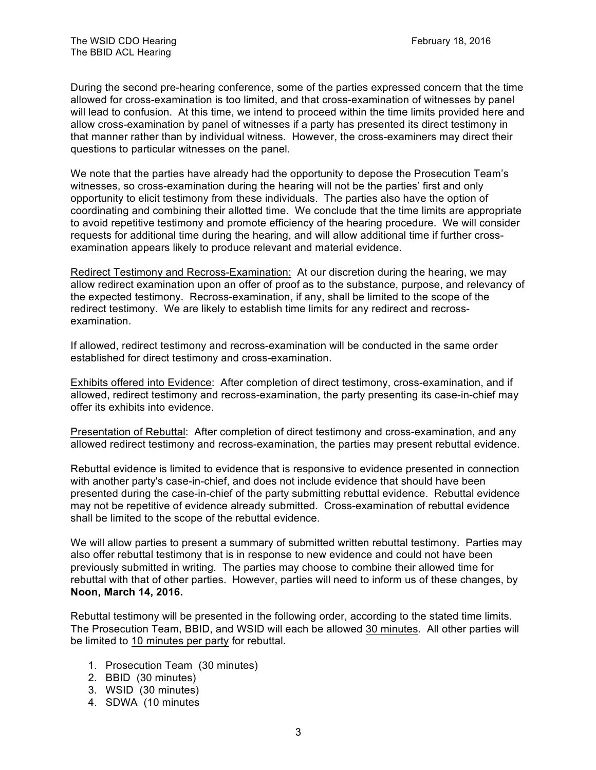During the second pre-hearing conference, some of the parties expressed concern that the time allowed for cross-examination is too limited, and that cross-examination of witnesses by panel will lead to confusion. At this time, we intend to proceed within the time limits provided here and allow cross-examination by panel of witnesses if a party has presented its direct testimony in that manner rather than by individual witness. However, the cross-examiners may direct their questions to particular witnesses on the panel.

We note that the parties have already had the opportunity to depose the Prosecution Team's witnesses, so cross-examination during the hearing will not be the parties' first and only opportunity to elicit testimony from these individuals. The parties also have the option of coordinating and combining their allotted time. We conclude that the time limits are appropriate to avoid repetitive testimony and promote efficiency of the hearing procedure. We will consider requests for additional time during the hearing, and will allow additional time if further crossexamination appears likely to produce relevant and material evidence.

Redirect Testimony and Recross-Examination: At our discretion during the hearing, we may allow redirect examination upon an offer of proof as to the substance, purpose, and relevancy of the expected testimony. Recross-examination, if any, shall be limited to the scope of the redirect testimony. We are likely to establish time limits for any redirect and recrossexamination.

If allowed, redirect testimony and recross-examination will be conducted in the same order established for direct testimony and cross-examination.

Exhibits offered into Evidence: After completion of direct testimony, cross-examination, and if allowed, redirect testimony and recross-examination, the party presenting its case-in-chief may offer its exhibits into evidence.

Presentation of Rebuttal: After completion of direct testimony and cross-examination, and any allowed redirect testimony and recross-examination, the parties may present rebuttal evidence.

Rebuttal evidence is limited to evidence that is responsive to evidence presented in connection with another party's case-in-chief, and does not include evidence that should have been presented during the case-in-chief of the party submitting rebuttal evidence. Rebuttal evidence may not be repetitive of evidence already submitted. Cross-examination of rebuttal evidence shall be limited to the scope of the rebuttal evidence.

We will allow parties to present a summary of submitted written rebuttal testimony. Parties may also offer rebuttal testimony that is in response to new evidence and could not have been previously submitted in writing. The parties may choose to combine their allowed time for rebuttal with that of other parties. However, parties will need to inform us of these changes, by **Noon, March 14, 2016.**

Rebuttal testimony will be presented in the following order, according to the stated time limits. The Prosecution Team, BBID, and WSID will each be allowed 30 minutes. All other parties will be limited to 10 minutes per party for rebuttal.

- 1. Prosecution Team (30 minutes)
- 2. BBID (30 minutes)
- 3. WSID (30 minutes)
- 4. SDWA (10 minutes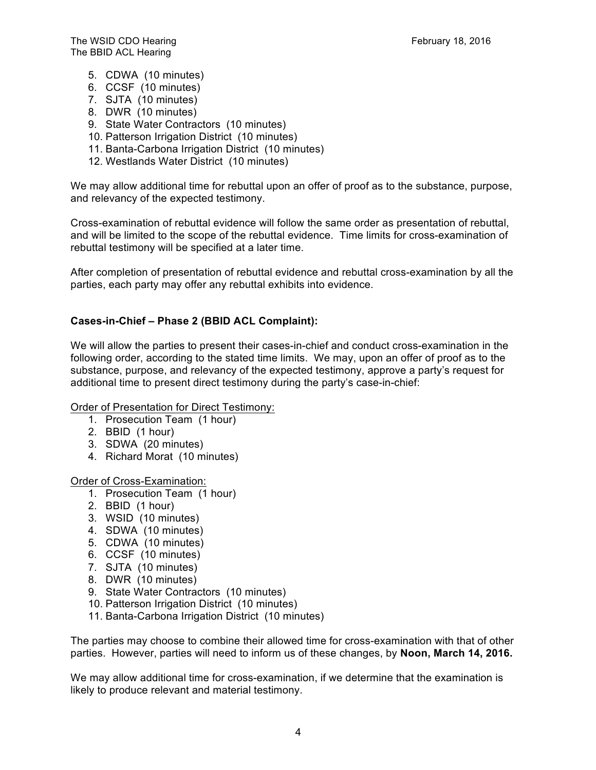- 5. CDWA (10 minutes)
- 6. CCSF (10 minutes)
- 7. SJTA (10 minutes)
- 8. DWR (10 minutes)
- 9. State Water Contractors (10 minutes)
- 10. Patterson Irrigation District (10 minutes)
- 11. Banta-Carbona Irrigation District (10 minutes)
- 12. Westlands Water District (10 minutes)

We may allow additional time for rebuttal upon an offer of proof as to the substance, purpose, and relevancy of the expected testimony.

Cross-examination of rebuttal evidence will follow the same order as presentation of rebuttal, and will be limited to the scope of the rebuttal evidence. Time limits for cross-examination of rebuttal testimony will be specified at a later time.

After completion of presentation of rebuttal evidence and rebuttal cross-examination by all the parties, each party may offer any rebuttal exhibits into evidence.

#### **Cases-in-Chief – Phase 2 (BBID ACL Complaint):**

We will allow the parties to present their cases-in-chief and conduct cross-examination in the following order, according to the stated time limits. We may, upon an offer of proof as to the substance, purpose, and relevancy of the expected testimony, approve a party's request for additional time to present direct testimony during the party's case-in-chief:

#### Order of Presentation for Direct Testimony:

- 1. Prosecution Team (1 hour)
- 2. BBID (1 hour)
- 3. SDWA (20 minutes)
- 4. Richard Morat (10 minutes)

Order of Cross-Examination:

- 1. Prosecution Team (1 hour)
- 2. BBID (1 hour)
- 3. WSID (10 minutes)
- 4. SDWA (10 minutes)
- 5. CDWA (10 minutes)
- 6. CCSF (10 minutes)
- 7. SJTA (10 minutes)
- 8. DWR (10 minutes)
- 9. State Water Contractors (10 minutes)
- 10. Patterson Irrigation District (10 minutes)
- 11. Banta-Carbona Irrigation District (10 minutes)

The parties may choose to combine their allowed time for cross-examination with that of other parties. However, parties will need to inform us of these changes, by **Noon, March 14, 2016.** 

We may allow additional time for cross-examination, if we determine that the examination is likely to produce relevant and material testimony.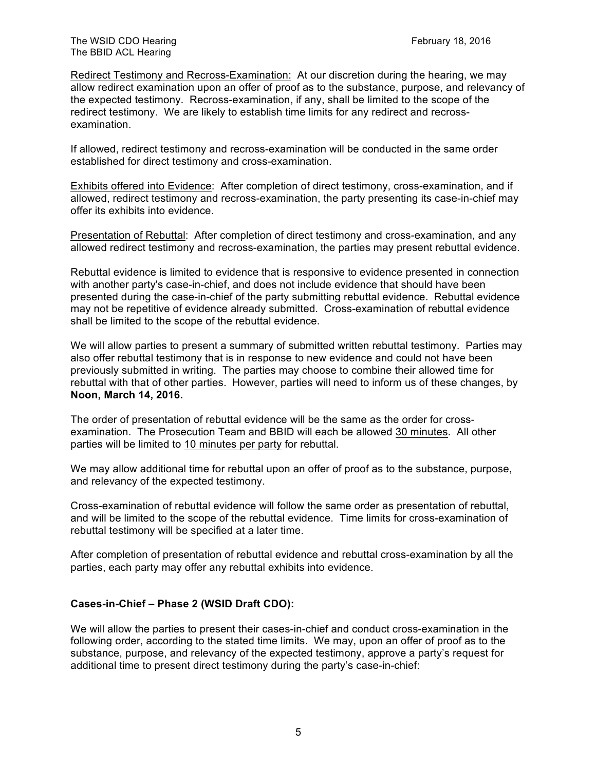Redirect Testimony and Recross-Examination: At our discretion during the hearing, we may allow redirect examination upon an offer of proof as to the substance, purpose, and relevancy of the expected testimony. Recross-examination, if any, shall be limited to the scope of the redirect testimony. We are likely to establish time limits for any redirect and recrossexamination.

If allowed, redirect testimony and recross-examination will be conducted in the same order established for direct testimony and cross-examination.

Exhibits offered into Evidence: After completion of direct testimony, cross-examination, and if allowed, redirect testimony and recross-examination, the party presenting its case-in-chief may offer its exhibits into evidence.

Presentation of Rebuttal: After completion of direct testimony and cross-examination, and any allowed redirect testimony and recross-examination, the parties may present rebuttal evidence.

Rebuttal evidence is limited to evidence that is responsive to evidence presented in connection with another party's case-in-chief, and does not include evidence that should have been presented during the case-in-chief of the party submitting rebuttal evidence. Rebuttal evidence may not be repetitive of evidence already submitted. Cross-examination of rebuttal evidence shall be limited to the scope of the rebuttal evidence.

We will allow parties to present a summary of submitted written rebuttal testimony. Parties may also offer rebuttal testimony that is in response to new evidence and could not have been previously submitted in writing. The parties may choose to combine their allowed time for rebuttal with that of other parties. However, parties will need to inform us of these changes, by **Noon, March 14, 2016.**

The order of presentation of rebuttal evidence will be the same as the order for crossexamination. The Prosecution Team and BBID will each be allowed 30 minutes. All other parties will be limited to 10 minutes per party for rebuttal.

We may allow additional time for rebuttal upon an offer of proof as to the substance, purpose, and relevancy of the expected testimony.

Cross-examination of rebuttal evidence will follow the same order as presentation of rebuttal, and will be limited to the scope of the rebuttal evidence. Time limits for cross-examination of rebuttal testimony will be specified at a later time.

After completion of presentation of rebuttal evidence and rebuttal cross-examination by all the parties, each party may offer any rebuttal exhibits into evidence.

## **Cases-in-Chief – Phase 2 (WSID Draft CDO):**

We will allow the parties to present their cases-in-chief and conduct cross-examination in the following order, according to the stated time limits. We may, upon an offer of proof as to the substance, purpose, and relevancy of the expected testimony, approve a party's request for additional time to present direct testimony during the party's case-in-chief: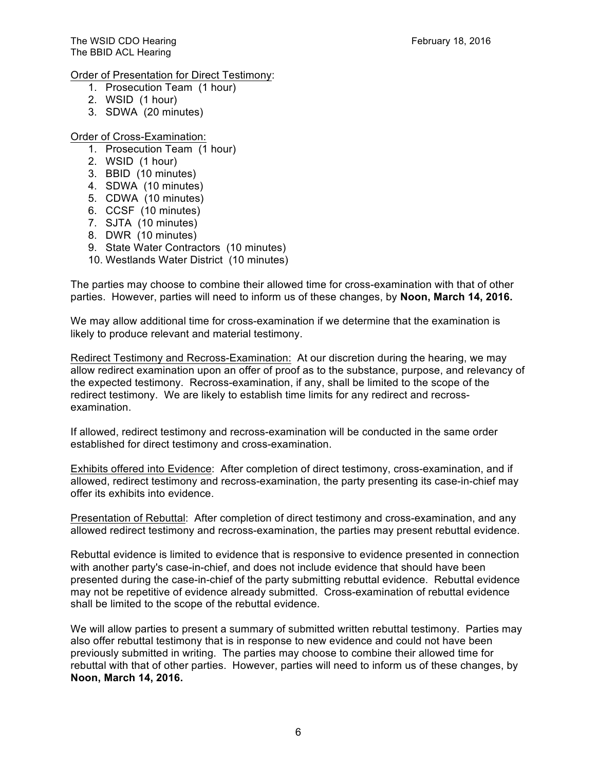## Order of Presentation for Direct Testimony:

- 1. Prosecution Team (1 hour)
- 2. WSID (1 hour)
- 3. SDWA (20 minutes)

## Order of Cross-Examination:

- 1. Prosecution Team (1 hour)
- 2. WSID (1 hour)
- 3. BBID (10 minutes)
- 4. SDWA (10 minutes)
- 5. CDWA (10 minutes)
- 6. CCSF (10 minutes)
- 7. SJTA (10 minutes)
- 8. DWR (10 minutes)
- 9. State Water Contractors (10 minutes)
- 10. Westlands Water District (10 minutes)

The parties may choose to combine their allowed time for cross-examination with that of other parties. However, parties will need to inform us of these changes, by **Noon, March 14, 2016.**

We may allow additional time for cross-examination if we determine that the examination is likely to produce relevant and material testimony.

Redirect Testimony and Recross-Examination: At our discretion during the hearing, we may allow redirect examination upon an offer of proof as to the substance, purpose, and relevancy of the expected testimony. Recross-examination, if any, shall be limited to the scope of the redirect testimony. We are likely to establish time limits for any redirect and recrossexamination.

If allowed, redirect testimony and recross-examination will be conducted in the same order established for direct testimony and cross-examination.

Exhibits offered into Evidence: After completion of direct testimony, cross-examination, and if allowed, redirect testimony and recross-examination, the party presenting its case-in-chief may offer its exhibits into evidence.

Presentation of Rebuttal: After completion of direct testimony and cross-examination, and any allowed redirect testimony and recross-examination, the parties may present rebuttal evidence.

Rebuttal evidence is limited to evidence that is responsive to evidence presented in connection with another party's case-in-chief, and does not include evidence that should have been presented during the case-in-chief of the party submitting rebuttal evidence. Rebuttal evidence may not be repetitive of evidence already submitted. Cross-examination of rebuttal evidence shall be limited to the scope of the rebuttal evidence.

We will allow parties to present a summary of submitted written rebuttal testimony. Parties may also offer rebuttal testimony that is in response to new evidence and could not have been previously submitted in writing. The parties may choose to combine their allowed time for rebuttal with that of other parties. However, parties will need to inform us of these changes, by **Noon, March 14, 2016.**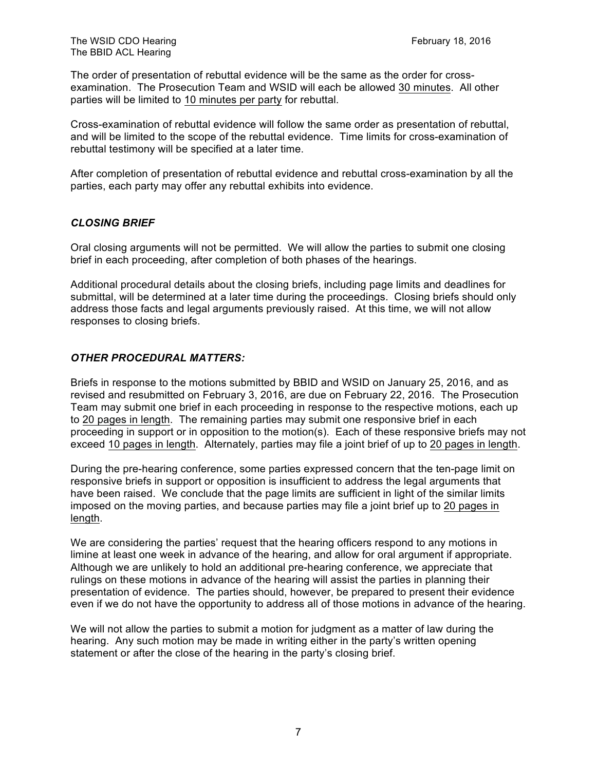The order of presentation of rebuttal evidence will be the same as the order for crossexamination. The Prosecution Team and WSID will each be allowed 30 minutes. All other parties will be limited to 10 minutes per party for rebuttal.

Cross-examination of rebuttal evidence will follow the same order as presentation of rebuttal, and will be limited to the scope of the rebuttal evidence. Time limits for cross-examination of rebuttal testimony will be specified at a later time.

After completion of presentation of rebuttal evidence and rebuttal cross-examination by all the parties, each party may offer any rebuttal exhibits into evidence.

## *CLOSING BRIEF*

Oral closing arguments will not be permitted. We will allow the parties to submit one closing brief in each proceeding, after completion of both phases of the hearings.

Additional procedural details about the closing briefs, including page limits and deadlines for submittal, will be determined at a later time during the proceedings. Closing briefs should only address those facts and legal arguments previously raised. At this time, we will not allow responses to closing briefs.

# *OTHER PROCEDURAL MATTERS:*

Briefs in response to the motions submitted by BBID and WSID on January 25, 2016, and as revised and resubmitted on February 3, 2016, are due on February 22, 2016. The Prosecution Team may submit one brief in each proceeding in response to the respective motions, each up to 20 pages in length. The remaining parties may submit one responsive brief in each proceeding in support or in opposition to the motion(s). Each of these responsive briefs may not exceed 10 pages in length. Alternately, parties may file a joint brief of up to 20 pages in length.

During the pre-hearing conference, some parties expressed concern that the ten-page limit on responsive briefs in support or opposition is insufficient to address the legal arguments that have been raised. We conclude that the page limits are sufficient in light of the similar limits imposed on the moving parties, and because parties may file a joint brief up to 20 pages in length.

We are considering the parties' request that the hearing officers respond to any motions in limine at least one week in advance of the hearing, and allow for oral argument if appropriate. Although we are unlikely to hold an additional pre-hearing conference, we appreciate that rulings on these motions in advance of the hearing will assist the parties in planning their presentation of evidence. The parties should, however, be prepared to present their evidence even if we do not have the opportunity to address all of those motions in advance of the hearing.

We will not allow the parties to submit a motion for judgment as a matter of law during the hearing. Any such motion may be made in writing either in the party's written opening statement or after the close of the hearing in the party's closing brief.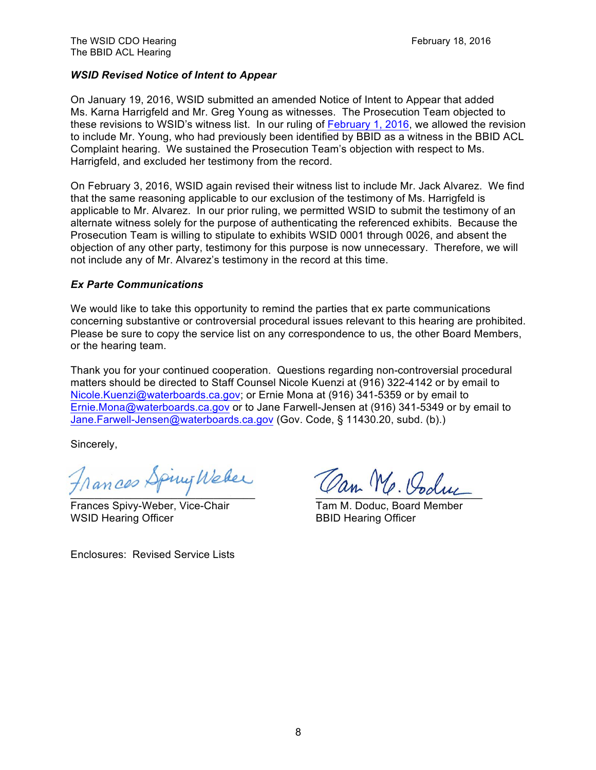## *WSID Revised Notice of Intent to Appear*

On January 19, 2016, WSID submitted an amended Notice of Intent to Appear that added Ms. Karna Harrigfeld and Mr. Greg Young as witnesses. The Prosecution Team objected to these revisions to WSID's witness list. In our ruling of February 1, 2016, we allowed the revision to include Mr. Young, who had previously been identified by BBID as a witness in the BBID ACL Complaint hearing. We sustained the Prosecution Team's objection with respect to Ms. Harrigfeld, and excluded her testimony from the record.

On February 3, 2016, WSID again revised their witness list to include Mr. Jack Alvarez. We find that the same reasoning applicable to our exclusion of the testimony of Ms. Harrigfeld is applicable to Mr. Alvarez. In our prior ruling, we permitted WSID to submit the testimony of an alternate witness solely for the purpose of authenticating the referenced exhibits. Because the Prosecution Team is willing to stipulate to exhibits WSID 0001 through 0026, and absent the objection of any other party, testimony for this purpose is now unnecessary. Therefore, we will not include any of Mr. Alvarez's testimony in the record at this time.

#### *Ex Parte Communications*

We would like to take this opportunity to remind the parties that ex parte communications concerning substantive or controversial procedural issues relevant to this hearing are prohibited. Please be sure to copy the service list on any correspondence to us, the other Board Members, or the hearing team.

Thank you for your continued cooperation. Questions regarding non-controversial procedural matters should be directed to Staff Counsel Nicole Kuenzi at (916) 322-4142 or by email to Nicole.Kuenzi@waterboards.ca.gov; or Ernie Mona at (916) 341-5359 or by email to Ernie.Mona@waterboards.ca.gov or to Jane Farwell-Jensen at (916) 341-5349 or by email to Jane.Farwell-Jensen@waterboards.ca.gov (Gov. Code, § 11430.20, subd. (b).)

Sincerely,

Frances Spiny Weber Can Me. Voduc

Frances Spivy-Weber, Vice-Chair Tam M. Doduc, Board Member WSID Hearing Officer **BBID Hearing Officer** BBID Hearing Officer

Enclosures: Revised Service Lists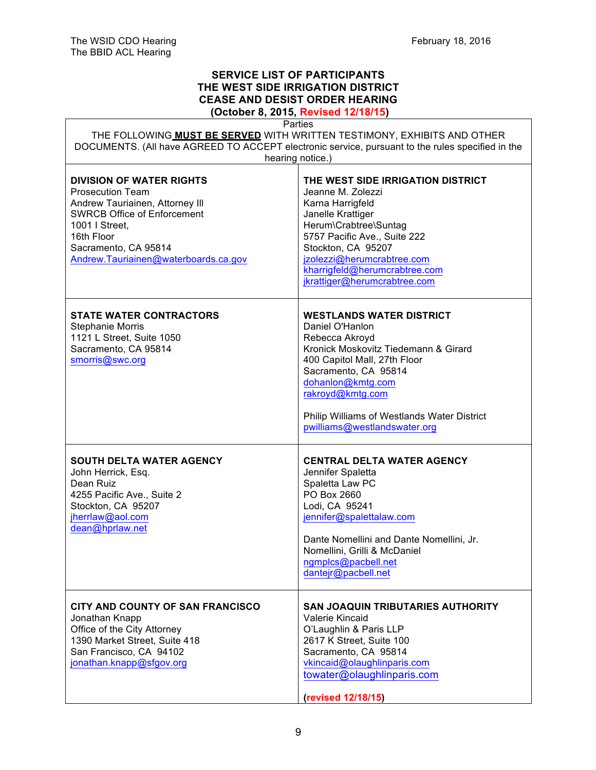Г

# **SERVICE LIST OF PARTICIPANTS THE WEST SIDE IRRIGATION DISTRICT CEASE AND DESIST ORDER HEARING**

**(October 8, 2015, Revised 12/18/15)**

| Parties<br>THE FOLLOWING MUST BE SERVED WITH WRITTEN TESTIMONY, EXHIBITS AND OTHER                                                                                                                                                  |                                                                                                                                                                                                                                                                                              |  |
|-------------------------------------------------------------------------------------------------------------------------------------------------------------------------------------------------------------------------------------|----------------------------------------------------------------------------------------------------------------------------------------------------------------------------------------------------------------------------------------------------------------------------------------------|--|
| DOCUMENTS. (All have AGREED TO ACCEPT electronic service, pursuant to the rules specified in the<br>hearing notice.)                                                                                                                |                                                                                                                                                                                                                                                                                              |  |
| <b>DIVISION OF WATER RIGHTS</b><br><b>Prosecution Team</b><br>Andrew Tauriainen, Attorney III<br><b>SWRCB Office of Enforcement</b><br>1001   Street,<br>16th Floor<br>Sacramento, CA 95814<br>Andrew.Tauriainen@waterboards.ca.gov | THE WEST SIDE IRRIGATION DISTRICT<br>Jeanne M. Zolezzi<br>Karna Harrigfeld<br>Janelle Krattiger<br>Herum\Crabtree\Suntag<br>5757 Pacific Ave., Suite 222<br>Stockton, CA 95207<br>jzolezzi@herumcrabtree.com<br>kharrigfeld@herumcrabtree.com<br>jkrattiger@herumcrabtree.com                |  |
| <b>STATE WATER CONTRACTORS</b><br><b>Stephanie Morris</b><br>1121 L Street, Suite 1050<br>Sacramento, CA 95814<br>smorris@swc.org                                                                                                   | <b>WESTLANDS WATER DISTRICT</b><br>Daniel O'Hanlon<br>Rebecca Akroyd<br>Kronick Moskovitz Tiedemann & Girard<br>400 Capitol Mall, 27th Floor<br>Sacramento, CA 95814<br>dohanlon@kmtg.com<br>rakroyd@kmtg.com<br>Philip Williams of Westlands Water District<br>pwilliams@westlandswater.org |  |
| <b>SOUTH DELTA WATER AGENCY</b><br>John Herrick, Esq.<br>Dean Ruiz<br>4255 Pacific Ave., Suite 2<br>Stockton, CA 95207<br>jherrlaw@aol.com<br>dean@hprlaw.net                                                                       | <b>CENTRAL DELTA WATER AGENCY</b><br>Jennifer Spaletta<br>Spaletta Law PC<br>PO Box 2660<br>Lodi, CA 95241<br>jennifer@spalettalaw.com<br>Dante Nomellini and Dante Nomellini, Jr.<br>Nomellini, Grilli & McDaniel<br>ngmplcs@pacbell.net<br>dantejr@pacbell.net                             |  |
| CITY AND COUNTY OF SAN FRANCISCO<br>Jonathan Knapp<br>Office of the City Attorney<br>1390 Market Street, Suite 418<br>San Francisco, CA 94102<br>jonathan.knapp@sfgov.org                                                           | <b>SAN JOAQUIN TRIBUTARIES AUTHORITY</b><br>Valerie Kincaid<br>O'Laughlin & Paris LLP<br>2617 K Street, Suite 100<br>Sacramento, CA 95814<br>vkincaid@olaughlinparis.com<br>towater@olaughlinparis.com<br>(revised 12/18/15)                                                                 |  |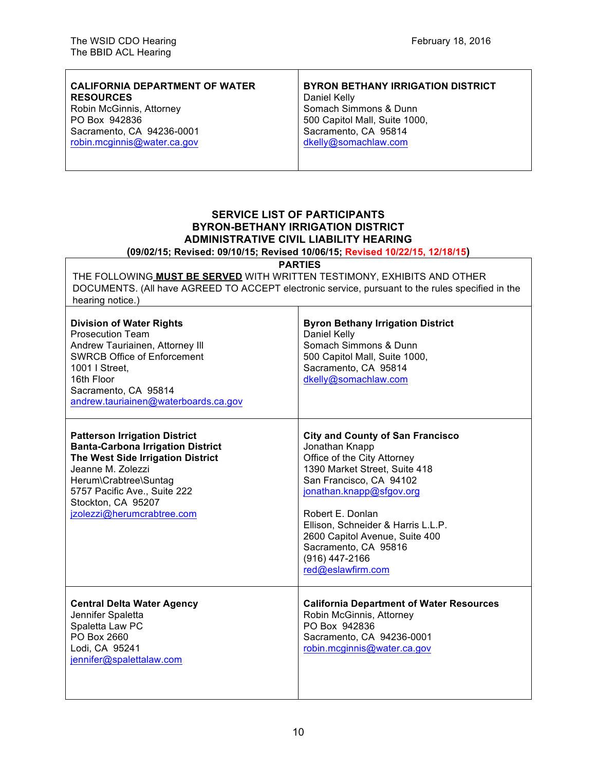$\mathsf{r}$ 

| <b>CALIFORNIA DEPARTMENT OF WATER</b> | <b>BYRON BETHANY IRRIGATION DISTRICT</b> |
|---------------------------------------|------------------------------------------|
| <b>RESOURCES</b>                      | Daniel Kelly                             |
| Robin McGinnis, Attorney              | Somach Simmons & Dunn                    |
| PO Box 942836                         | 500 Capitol Mall, Suite 1000,            |
| Sacramento, CA 94236-0001             | Sacramento, CA 95814                     |
| robin.mcginnis@water.ca.gov           | dkelly@somachlaw.com                     |
|                                       |                                          |
|                                       |                                          |

Τ

### **SERVICE LIST OF PARTICIPANTS BYRON-BETHANY IRRIGATION DISTRICT ADMINISTRATIVE CIVIL LIABILITY HEARING (09/02/15; Revised: 09/10/15; Revised 10/06/15; Revised 10/22/15, 12/18/15)**

**PARTIES**

THE FOLLOWING **MUST BE SERVED** WITH WRITTEN TESTIMONY, EXHIBITS AND OTHER DOCUMENTS. (All have AGREED TO ACCEPT electronic service, pursuant to the rules specified in the hearing notice.)

| <b>Division of Water Rights</b><br><b>Prosecution Team</b><br>Andrew Tauriainen, Attorney III<br><b>SWRCB Office of Enforcement</b><br>1001   Street.<br>16th Floor<br>Sacramento, CA 95814<br>andrew.tauriainen@waterboards.ca.gov                     | <b>Byron Bethany Irrigation District</b><br>Daniel Kelly<br>Somach Simmons & Dunn<br>500 Capitol Mall, Suite 1000,<br>Sacramento, CA 95814<br>dkelly@somachlaw.com                                                                                                                                                                          |
|---------------------------------------------------------------------------------------------------------------------------------------------------------------------------------------------------------------------------------------------------------|---------------------------------------------------------------------------------------------------------------------------------------------------------------------------------------------------------------------------------------------------------------------------------------------------------------------------------------------|
| <b>Patterson Irrigation District</b><br><b>Banta-Carbona Irrigation District</b><br>The West Side Irrigation District<br>Jeanne M. Zolezzi<br>Herum\Crabtree\Suntag<br>5757 Pacific Ave., Suite 222<br>Stockton, CA 95207<br>jzolezzi@herumcrabtree.com | <b>City and County of San Francisco</b><br>Jonathan Knapp<br>Office of the City Attorney<br>1390 Market Street, Suite 418<br>San Francisco, CA 94102<br>jonathan.knapp@sfgov.org<br>Robert E. Donlan<br>Ellison, Schneider & Harris L.L.P.<br>2600 Capitol Avenue, Suite 400<br>Sacramento, CA 95816<br>(916) 447-2166<br>red@eslawfirm.com |
| <b>Central Delta Water Agency</b><br>Jennifer Spaletta<br>Spaletta Law PC<br>PO Box 2660<br>Lodi, CA 95241<br>jennifer@spalettalaw.com                                                                                                                  | <b>California Department of Water Resources</b><br>Robin McGinnis, Attorney<br>PO Box 942836<br>Sacramento, CA 94236-0001<br>robin.mcginnis@water.ca.gov                                                                                                                                                                                    |